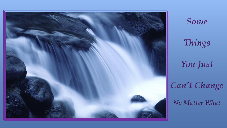

Things

Some

You Just

Can't Change

**No Matter What**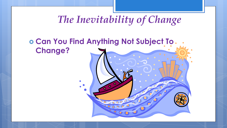# *The Inevitability of Change*

#### **Can You Find Anything Not Subject To Change?**

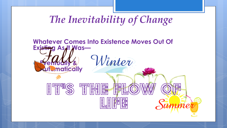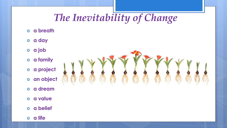# *The Inevitability of Change*

- **a breath**
- **a day**
- **a job**
- **a family**
- **a project**
- **an object**
- **a dream**
- **a value**
- **a belief**
- **a life**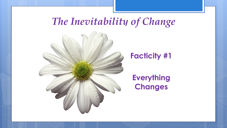# *The Inevitability of Change*



#### **Facticity #1**

**Everything Changes**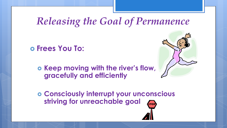#### **Frees You To:**

 $\circ$  **Keep moving with the river's flow, gracefully and efficiently**



 **Consciously interrupt your unconscious striving for unreachable goal**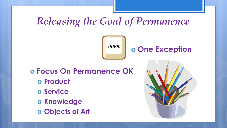

#### **One Exception**

 **Focus On Permanence OK Product Service o Knowledge** 

**Objects of Art**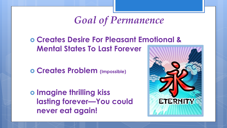# *Goal of Permanence*

 **Creates Desire For Pleasant Emotional & Mental States To Last Forever**

**Creates Problem (Impossible)** 

 **Imagine thrilling kiss lasting forever—You could never eat again!** 

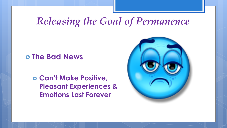#### **The Bad News**

 **Can't Make Positive, Pleasant Experiences & Emotions Last Forever**

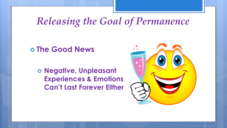**The Good News**

 **Negative, Unpleasant Experiences & Emotions Can't Last Forever Either**

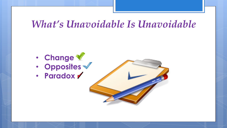#### *What's Unavoidable Is Unavoidable*

- **Change** • **Opposites**
- **Paradox**

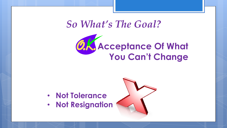### *So What's The Goal?*



- **Not Tolerance**
- **Not Resignation**

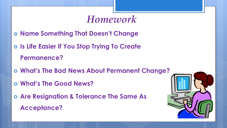### *Homework*

- **Name Something That Doesn't Change**
- **Is Life Easier If You Stop Trying To Create**

**Permanence?**

- **What's The Bad News About Permanent Change?**
- **What's The Good News?**
- **Are Resignation & Tolerance The Same As Acceptance?**